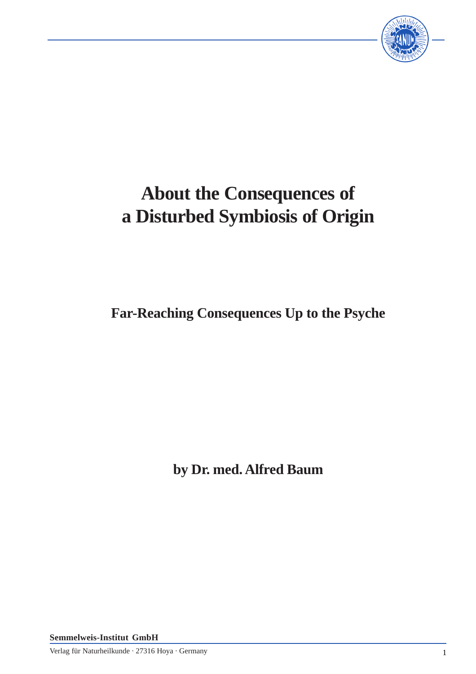

# **About the Consequences of a Disturbed Symbiosis of Origin**

**Far-Reaching Consequences Up to the Psyche**

**by Dr. med. Alfred Baum**

**Semmelweis-Institut GmbH**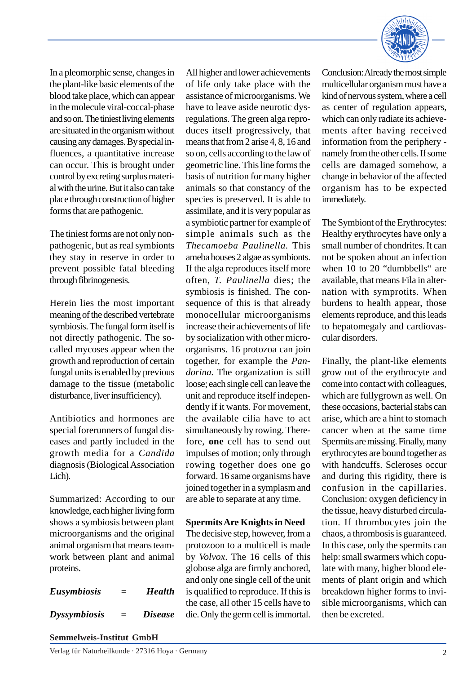In a pleomorphic sense, changes in the plant-like basic elements of the blood take place, which can appear in the molecule viral-coccal-phase and so on. The tiniest living elements are situated in the organism without causing any damages. By special influences, a quantitative increase can occur. This is brought under control by excreting surplus material with the urine. But it also can take place through construction of higher forms that are pathogenic.

The tiniest forms are not only nonpathogenic, but as real symbionts they stay in reserve in order to prevent possible fatal bleeding through fibrinogenesis.

Herein lies the most important meaning of the described vertebrate symbiosis. The fungal form itself is not directly pathogenic. The socalled mycoses appear when the growth and reproduction of certain fungal units is enabled by previous damage to the tissue (metabolic disturbance, liver insufficiency).

Antibiotics and hormones are special forerunners of fungal diseases and partly included in the growth media for a *Candida* diagnosis (Biological Association Lich).

Summarized: According to our knowledge, each higher living form shows a symbiosis between plant microorganisms and the original animal organism that means teamwork between plant and animal proteins.

*Eusymbiosis = Health Dyssymbiosis = Disease* All higher and lower achievements of life only take place with the assistance of microorganisms. We have to leave aside neurotic dysregulations. The green alga reproduces itself progressively, that means that from 2 arise 4, 8, 16 and so on, cells according to the law of geometric line. This line forms the basis of nutrition for many higher animals so that constancy of the species is preserved. It is able to assimilate, and it is very popular as a symbiotic partner for example of simple animals such as the *Thecamoeba Paulinella.* This ameba houses 2 algae as symbionts. If the alga reproduces itself more often, *T. Paulinella* dies; the symbiosis is finished. The consequence of this is that already monocellular microorganisms increase their achievements of life by socialization with other microorganisms. 16 protozoa can join together, for example the *Pandorina.* The organization is still loose; each single cell can leave the unit and reproduce itself independently if it wants. For movement, the available cilia have to act simultaneously by rowing. Therefore, **one** cell has to send out impulses of motion; only through rowing together does one go forward. 16 same organisms have joined together in a symplasm and are able to separate at any time.

#### **Spermits Are Knights in Need**

The decisive step, however, from a protozoon to a multicell is made by *Volvox*. The 16 cells of this globose alga are firmly anchored, and only one single cell of the unit is qualified to reproduce. If this is the case, all other 15 cells have to die. Only the germ cell is immortal.



Conclusion: Already the most simple multicellular organism must have a kind of nervous system, where a cell as center of regulation appears, which can only radiate its achievements after having received information from the periphery namely from the other cells. If some cells are damaged somehow, a change in behavior of the affected organism has to be expected immediately.

The Symbiont of the Erythrocytes: Healthy erythrocytes have only a small number of chondrites. It can not be spoken about an infection when 10 to 20 "dumbbells" are available, that means Fila in alternation with symprotits. When burdens to health appear, those elements reproduce, and this leads to hepatomegaly and cardiovascular disorders.

Finally, the plant-like elements grow out of the erythrocyte and come into contact with colleagues, which are fullygrown as well. On these occasions, bacterial stabs can arise, which are a hint to stomach cancer when at the same time Spermits are missing. Finally, many erythrocytes are bound together as with handcuffs. Scleroses occur and during this rigidity, there is confusion in the capillaries. Conclusion: oxygen deficiency in the tissue, heavy disturbed circulation. If thrombocytes join the chaos, a thrombosis is guaranteed. In this case, only the spermits can help: small swarmers which copulate with many, higher blood elements of plant origin and which breakdown higher forms to invisible microorganisms, which can then be excreted.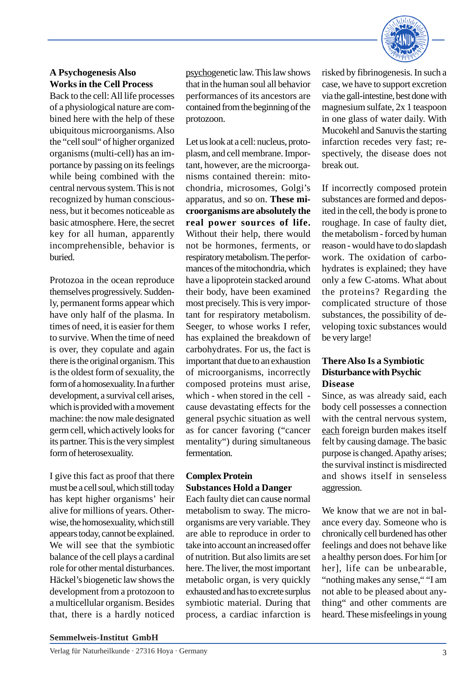

## **A Psychogenesis Also Works in the Cell Process**

Back to the cell: All life processes of a physiological nature are combined here with the help of these ubiquitous microorganisms. Also the "cell soul" of higher organized organisms (multi-cell) has an importance by passing on its feelings while being combined with the central nervous system. This is not recognized by human consciousness, but it becomes noticeable as basic atmosphere. Here, the secret key for all human, apparently incomprehensible, behavior is buried.

Protozoa in the ocean reproduce themselves progressively. Suddenly, permanent forms appear which have only half of the plasma. In times of need, it is easier for them to survive. When the time of need is over, they copulate and again there is the original organism. This is the oldest form of sexuality, the form of a homosexuality. In a further development, a survival cell arises, which is provided with a movement machine: the now male designated germ cell, which actively looks for its partner. This is the very simplest form of heterosexuality.

I give this fact as proof that there must be a cell soul, which still today has kept higher organisms' heir alive for millions of years. Otherwise, the homosexuality, which still appears today, cannot be explained. We will see that the symbiotic balance of the cell plays a cardinal role for other mental disturbances. Häckel's biogenetic law shows the development from a protozoon to a multicellular organism. Besides that, there is a hardly noticed psychogenetic law. This law shows that in the human soul all behavior performances of its ancestors are contained from the beginning of the protozoon.

Let us look at a cell: nucleus, protoplasm, and cell membrane. Important, however, are the microorganisms contained therein: mitochondria, microsomes, Golgi's apparatus, and so on. **These microorganisms are absolutely the real power sources of life.** Without their help, there would not be hormones, ferments, or respiratory metabolism. The performances of the mitochondria, which have a lipoprotein stacked around their body, have been examined most precisely. This is very important for respiratory metabolism. Seeger, to whose works I refer, has explained the breakdown of carbohydrates. For us, the fact is important that due to an exhaustion of microorganisms, incorrectly composed proteins must arise, which - when stored in the cell cause devastating effects for the general psychic situation as well as for cancer favoring ("cancer mentality") during simultaneous fermentation.

## **Complex Protein Substances Hold a Danger**

Each faulty diet can cause normal metabolism to sway. The microorganisms are very variable. They are able to reproduce in order to take into account an increased offer of nutrition. But also limits are set here. The liver, the most important metabolic organ, is very quickly exhausted and has to excrete surplus symbiotic material. During that process, a cardiac infarction is

risked by fibrinogenesis. In such a case, we have to support excretion via the gall-intestine, best done with magnesium sulfate, 2x 1 teaspoon in one glass of water daily. With Mucokehl and Sanuvis the starting infarction recedes very fast; respectively, the disease does not break out.

If incorrectly composed protein substances are formed and deposited in the cell, the body is prone to roughage. In case of faulty diet, the metabolism - forced by human reason - would have to do slapdash work. The oxidation of carbohydrates is explained; they have only a few C-atoms. What about the proteins? Regarding the complicated structure of those substances, the possibility of developing toxic substances would be very large!

### **There Also Is a Symbiotic Disturbance with Psychic Disease**

Since, as was already said, each body cell possesses a connection with the central nervous system, each foreign burden makes itself felt by causing damage. The basic purpose is changed. Apathy arises; the survival instinct is misdirected and shows itself in senseless aggression.

We know that we are not in balance every day. Someone who is chronically cell burdened has other feelings and does not behave like a healthy person does. For him [or her], life can be unbearable, "nothing makes any sense," "I am not able to be pleased about anything" and other comments are heard. These misfeelings in young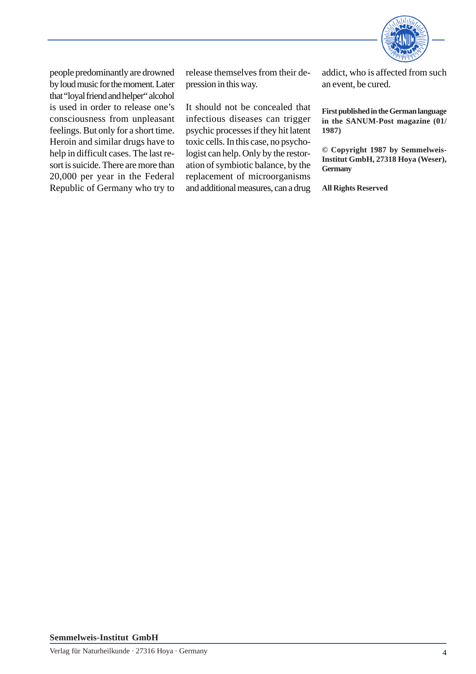

people predominantly are drowned by loud music for the moment. Later that "loyal friend and helper" alcohol is used in order to release one's consciousness from unpleasant feelings. But only for a short time. Heroin and similar drugs have to help in difficult cases. The last resort is suicide. There are more than 20,000 per year in the Federal Republic of Germany who try to

release themselves from their depression in this way.

It should not be concealed that infectious diseases can trigger psychic processes if they hit latent toxic cells. In this case, no psychologist can help. Only by the restoration of symbiotic balance, by the replacement of microorganisms and additional measures, can a drug addict, who is affected from such an event, be cured.

**First published in the German language in the SANUM-Post magazine (01/ 1987)**

**© Copyright 1987 by Semmelweis-Institut GmbH, 27318 Hoya (Weser), Germany**

**All Rights Reserved**